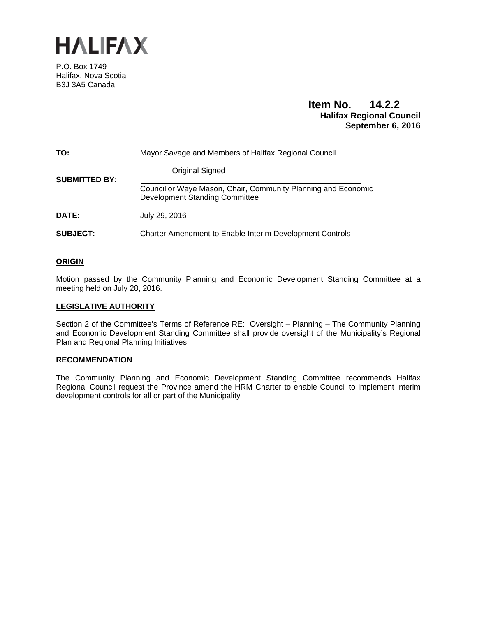

P.O. Box 1749 Halifax, Nova Scotia B3J 3A5 Canada

# **Item No. 14.2.2 Halifax Regional Council September 6, 2016**

| TO:                  | Mayor Savage and Members of Halifax Regional Council                                                   |
|----------------------|--------------------------------------------------------------------------------------------------------|
| <b>SUBMITTED BY:</b> | Original Signed                                                                                        |
|                      | Councillor Waye Mason, Chair, Community Planning and Economic<br><b>Development Standing Committee</b> |
| DATE:                | July 29, 2016                                                                                          |
| <b>SUBJECT:</b>      | Charter Amendment to Enable Interim Development Controls                                               |

# **ORIGIN**

Motion passed by the Community Planning and Economic Development Standing Committee at a meeting held on July 28, 2016.

# **LEGISLATIVE AUTHORITY**

Section 2 of the Committee's Terms of Reference RE: Oversight – Planning – The Community Planning and Economic Development Standing Committee shall provide oversight of the Municipality's Regional Plan and Regional Planning Initiatives

#### **RECOMMENDATION**

The Community Planning and Economic Development Standing Committee recommends Halifax Regional Council request the Province amend the HRM Charter to enable Council to implement interim development controls for all or part of the Municipality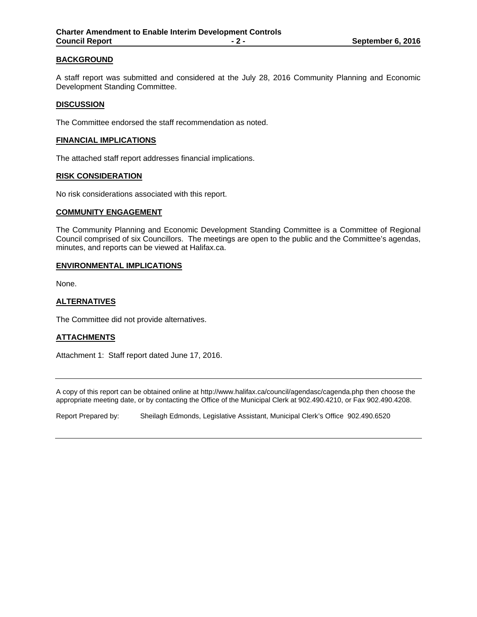# **BACKGROUND**

A staff report was submitted and considered at the July 28, 2016 Community Planning and Economic Development Standing Committee.

# **DISCUSSION**

The Committee endorsed the staff recommendation as noted.

#### **FINANCIAL IMPLICATIONS**

The attached staff report addresses financial implications.

#### **RISK CONSIDERATION**

No risk considerations associated with this report.

#### **COMMUNITY ENGAGEMENT**

The Community Planning and Economic Development Standing Committee is a Committee of Regional Council comprised of six Councillors. The meetings are open to the public and the Committee's agendas, minutes, and reports can be viewed at Halifax.ca.

#### **ENVIRONMENTAL IMPLICATIONS**

None.

# **ALTERNATIVES**

The Committee did not provide alternatives.

# **ATTACHMENTS**

Attachment 1: Staff report dated June 17, 2016.

A copy of this report can be obtained online at http://www.halifax.ca/council/agendasc/cagenda.php then choose the appropriate meeting date, or by contacting the Office of the Municipal Clerk at 902.490.4210, or Fax 902.490.4208.

Report Prepared by: Sheilagh Edmonds, Legislative Assistant, Municipal Clerk's Office 902.490.6520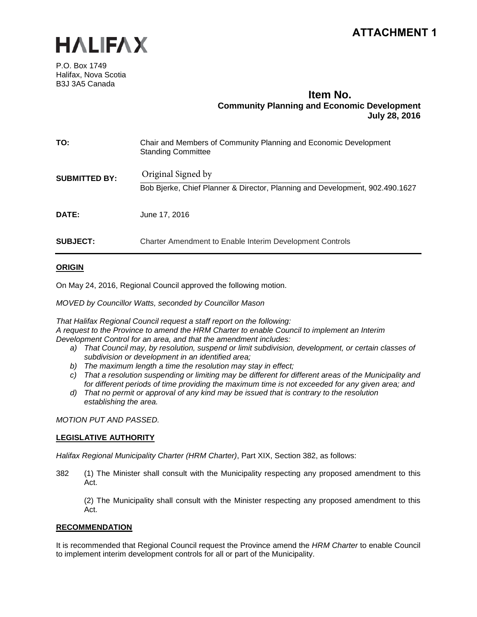



P.O. Box 1749 Halifax, Nova Scotia B3J 3A5 Canada

# **Item No. Community Planning and Economic Development July 28, 2016**

| TO:                  | Chair and Members of Community Planning and Economic Development<br><b>Standing Committee</b>      |
|----------------------|----------------------------------------------------------------------------------------------------|
| <b>SUBMITTED BY:</b> | Original Signed by<br>Bob Bjerke, Chief Planner & Director, Planning and Development, 902.490.1627 |
| DATE:                | June 17, 2016                                                                                      |
| <b>SUBJECT:</b>      | <b>Charter Amendment to Enable Interim Development Controls</b>                                    |

# **ORIGIN**

On May 24, 2016, Regional Council approved the following motion.

*MOVED by Councillor Watts, seconded by Councillor Mason*

*That Halifax Regional Council request a staff report on the following: A request to the Province to amend the HRM Charter to enable Council to implement an Interim Development Control for an area, and that the amendment includes:*

- *a) That Council may, by resolution, suspend or limit subdivision, development, or certain classes of subdivision or development in an identified area;*
- *b) The maximum length a time the resolution may stay in effect;*
- *c) That a resolution suspending or limiting may be different for different areas of the Municipality and for different periods of time providing the maximum time is not exceeded for any given area; and*
- *d) That no permit or approval of any kind may be issued that is contrary to the resolution establishing the area.*

*MOTION PUT AND PASSED.*

# **LEGISLATIVE AUTHORITY**

*Halifax Regional Municipality Charter (HRM Charter)*, Part XIX, Section 382, as follows:

382 (1) The Minister shall consult with the Municipality respecting any proposed amendment to this Act.

(2) The Municipality shall consult with the Minister respecting any proposed amendment to this Act.

# **RECOMMENDATION**

It is recommended that Regional Council request the Province amend the *HRM Charter* to enable Council to implement interim development controls for all or part of the Municipality.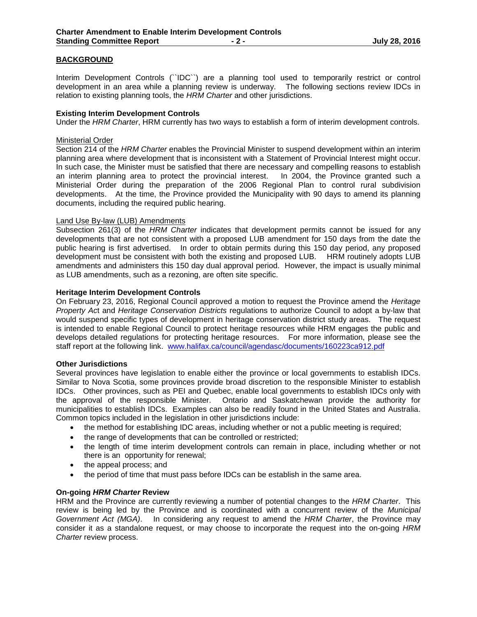# **BACKGROUND**

Interim Development Controls (`IDC``) are a planning tool used to temporarily restrict or control development in an area while a planning review is underway. The following sections review IDCs in relation to existing planning tools, the *HRM Charter* and other jurisdictions.

## **Existing Interim Development Controls**

Under the *HRM Charter*, HRM currently has two ways to establish a form of interim development controls.

#### Ministerial Order

Section 214 of the *HRM Charter* enables the Provincial Minister to suspend development within an interim planning area where development that is inconsistent with a Statement of Provincial Interest might occur. In such case, the Minister must be satisfied that there are necessary and compelling reasons to establish an interim planning area to protect the provincial interest. In 2004, the Province granted such a Ministerial Order during the preparation of the 2006 Regional Plan to control rural subdivision developments. At the time, the Province provided the Municipality with 90 days to amend its planning documents, including the required public hearing.

#### Land Use By-law (LUB) Amendments

Subsection 261(3) of the *HRM Charter* indicates that development permits cannot be issued for any developments that are not consistent with a proposed LUB amendment for 150 days from the date the public hearing is first advertised. In order to obtain permits during this 150 day period, any proposed development must be consistent with both the existing and proposed LUB. HRM routinely adopts LUB amendments and administers this 150 day dual approval period. However, the impact is usually minimal as LUB amendments, such as a rezoning, are often site specific.

#### **Heritage Interim Development Controls**

On February 23, 2016, Regional Council approved a motion to request the Province amend the *Heritage Property Ac*t and *Heritage Conservation Districts* regulations to authorize Council to adopt a by-law that would suspend specific types of development in heritage conservation district study areas. The request is intended to enable Regional Council to protect heritage resources while HRM engages the public and develops detailed regulations for protecting heritage resources. For more information, please see the staff report at the following link. [www.halifax.ca/council/agendasc/documents/160223ca912.pdf](http://www.halifax.ca/council/agendasc/documents/160223ca912.pdf)

#### **Other Jurisdictions**

Several provinces have legislation to enable either the province or local governments to establish IDCs. Similar to Nova Scotia, some provinces provide broad discretion to the responsible Minister to establish IDCs. Other provinces, such as PEI and Quebec, enable local governments to establish IDCs only with the approval of the responsible Minister. Ontario and Saskatchewan provide the authority for municipalities to establish IDCs. Examples can also be readily found in the United States and Australia. Common topics included in the legislation in other jurisdictions include:

- the method for establishing IDC areas, including whether or not a public meeting is required;
- the range of developments that can be controlled or restricted;
- the length of time interim development controls can remain in place, including whether or not there is an opportunity for renewal;
- the appeal process; and
- the period of time that must pass before IDCs can be establish in the same area.

# **On-going** *HRM Charter* **Review**

HRM and the Province are currently reviewing a number of potential changes to the *HRM Charter*. This review is being led by the Province and is coordinated with a concurrent review of the *Municipal Government Act (MGA)*. In considering any request to amend the *HRM Charter*, the Province may consider it as a standalone request, or may choose to incorporate the request into the on-going *HRM Charter* review process.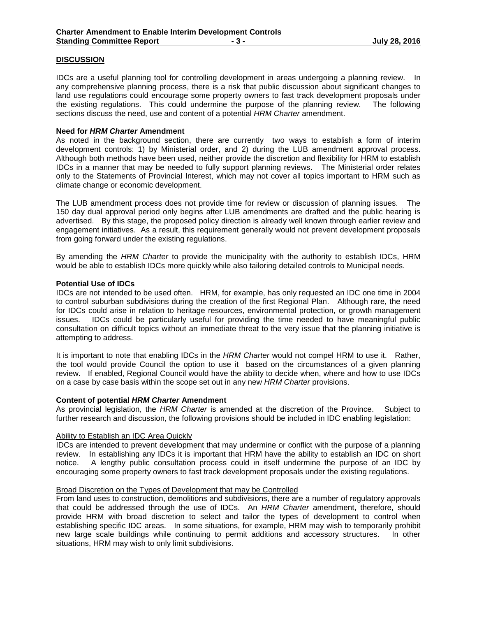# **DISCUSSION**

IDCs are a useful planning tool for controlling development in areas undergoing a planning review. In any comprehensive planning process, there is a risk that public discussion about significant changes to land use regulations could encourage some property owners to fast track development proposals under the existing regulations. This could undermine the purpose of the planning review. The following sections discuss the need, use and content of a potential *HRM Charter* amendment.

#### **Need for** *HRM Charter* **Amendment**

As noted in the background section, there are currently two ways to establish a form of interim development controls: 1) by Ministerial order, and 2) during the LUB amendment approval process. Although both methods have been used, neither provide the discretion and flexibility for HRM to establish IDCs in a manner that may be needed to fully support planning reviews. The Ministerial order relates only to the Statements of Provincial Interest, which may not cover all topics important to HRM such as climate change or economic development.

The LUB amendment process does not provide time for review or discussion of planning issues. The 150 day dual approval period only begins after LUB amendments are drafted and the public hearing is advertised. By this stage, the proposed policy direction is already well known through earlier review and engagement initiatives. As a result, this requirement generally would not prevent development proposals from going forward under the existing regulations.

By amending the *HRM Charter* to provide the municipality with the authority to establish IDCs, HRM would be able to establish IDCs more quickly while also tailoring detailed controls to Municipal needs.

#### **Potential Use of IDCs**

IDCs are not intended to be used often. HRM, for example, has only requested an IDC one time in 2004 to control suburban subdivisions during the creation of the first Regional Plan. Although rare, the need for IDCs could arise in relation to heritage resources, environmental protection, or growth management issues. IDCs could be particularly useful for providing the time needed to have meaningful public consultation on difficult topics without an immediate threat to the very issue that the planning initiative is attempting to address.

It is important to note that enabling IDCs in the *HRM Charter* would not compel HRM to use it. Rather, the tool would provide Council the option to use it based on the circumstances of a given planning review. If enabled, Regional Council would have the ability to decide when, where and how to use IDCs on a case by case basis within the scope set out in any new *HRM Charter* provisions.

#### **Content of potential** *HRM Charter* **Amendment**

As provincial legislation, the *HRM Charter* is amended at the discretion of the Province. Subject to further research and discussion, the following provisions should be included in IDC enabling legislation:

#### Ability to Establish an IDC Area Quickly

IDCs are intended to prevent development that may undermine or conflict with the purpose of a planning review. In establishing any IDCs it is important that HRM have the ability to establish an IDC on short notice. A lengthy public consultation process could in itself undermine the purpose of an IDC by encouraging some property owners to fast track development proposals under the existing regulations.

# Broad Discretion on the Types of Development that may be Controlled

From land uses to construction, demolitions and subdivisions, there are a number of regulatory approvals that could be addressed through the use of IDCs. An *HRM Charter* amendment, therefore, should provide HRM with broad discretion to select and tailor the types of development to control when establishing specific IDC areas. In some situations, for example, HRM may wish to temporarily prohibit new large scale buildings while continuing to permit additions and accessory structures. In other situations, HRM may wish to only limit subdivisions.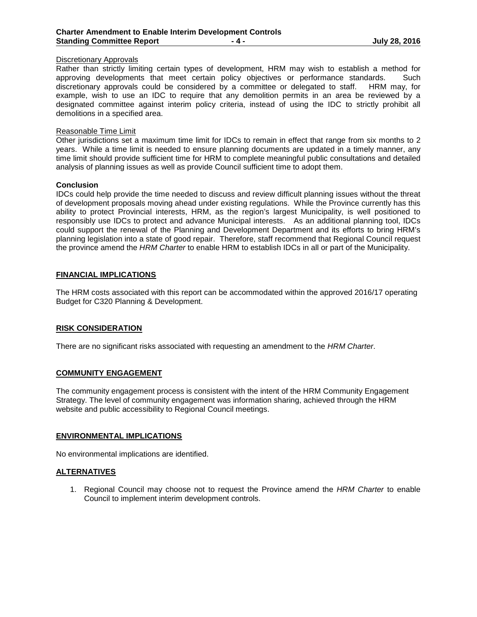## Discretionary Approvals

Rather than strictly limiting certain types of development, HRM may wish to establish a method for approving developments that meet certain policy objectives or performance standards. Such discretionary approvals could be considered by a committee or delegated to staff. HRM may, for example, wish to use an IDC to require that any demolition permits in an area be reviewed by a designated committee against interim policy criteria, instead of using the IDC to strictly prohibit all demolitions in a specified area.

#### Reasonable Time Limit

Other jurisdictions set a maximum time limit for IDCs to remain in effect that range from six months to 2 years. While a time limit is needed to ensure planning documents are updated in a timely manner, any time limit should provide sufficient time for HRM to complete meaningful public consultations and detailed analysis of planning issues as well as provide Council sufficient time to adopt them.

#### **Conclusion**

IDCs could help provide the time needed to discuss and review difficult planning issues without the threat of development proposals moving ahead under existing regulations. While the Province currently has this ability to protect Provincial interests, HRM, as the region's largest Municipality, is well positioned to responsibly use IDCs to protect and advance Municipal interests. As an additional planning tool, IDCs could support the renewal of the Planning and Development Department and its efforts to bring HRM's planning legislation into a state of good repair. Therefore, staff recommend that Regional Council request the province amend the *HRM Charter* to enable HRM to establish IDCs in all or part of the Municipality.

# **FINANCIAL IMPLICATIONS**

The HRM costs associated with this report can be accommodated within the approved 2016/17 operating Budget for C320 Planning & Development.

#### **RISK CONSIDERATION**

There are no significant risks associated with requesting an amendment to the *HRM Charter*.

#### **COMMUNITY ENGAGEMENT**

The community engagement process is consistent with the intent of the HRM Community Engagement Strategy. The level of community engagement was information sharing, achieved through the HRM website and public accessibility to Regional Council meetings.

#### **ENVIRONMENTAL IMPLICATIONS**

No environmental implications are identified.

#### **ALTERNATIVES**

1. Regional Council may choose not to request the Province amend the *HRM Charter* to enable Council to implement interim development controls.